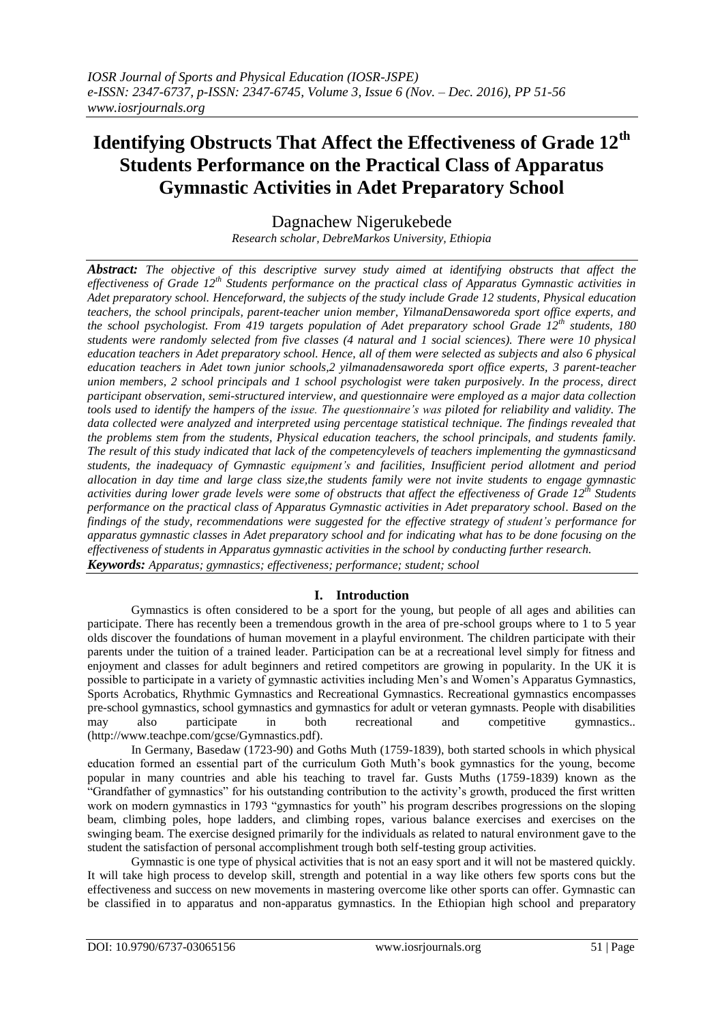# **Identifying Obstructs That Affect the Effectiveness of Grade 12th Students Performance on the Practical Class of Apparatus Gymnastic Activities in Adet Preparatory School**

Dagnachew Nigerukebede

*Research scholar, DebreMarkos University, Ethiopia*

*Abstract: The objective of this descriptive survey study aimed at identifying obstructs that affect the effectiveness of Grade 12th Students performance on the practical class of Apparatus Gymnastic activities in Adet preparatory school. Henceforward, the subjects of the study include Grade 12 students, Physical education teachers, the school principals, parent-teacher union member, YilmanaDensaworeda sport office experts, and the school psychologist. From 419 targets population of Adet preparatory school Grade 12th students, 180 students were randomly selected from five classes (4 natural and 1 social sciences). There were 10 physical education teachers in Adet preparatory school. Hence, all of them were selected as subjects and also 6 physical education teachers in Adet town junior schools,2 yilmanadensaworeda sport office experts, 3 parent-teacher union members, 2 school principals and 1 school psychologist were taken purposively. In the process, direct participant observation, semi-structured interview, and questionnaire were employed as a major data collection tools used to identify the hampers of the issue. The questionnaire's was piloted for reliability and validity. The data collected were analyzed and interpreted using percentage statistical technique. The findings revealed that the problems stem from the students, Physical education teachers, the school principals, and students family. The result of this study indicated that lack of the competencylevels of teachers implementing the gymnasticsand students, the inadequacy of Gymnastic equipment's and facilities, Insufficient period allotment and period allocation in day time and large class size,the students family were not invite students to engage gymnastic activities during lower grade levels were some of obstructs that affect the effectiveness of Grade 12th Students performance on the practical class of Apparatus Gymnastic activities in Adet preparatory school. Based on the findings of the study, recommendations were suggested for the effective strategy of student's performance for apparatus gymnastic classes in Adet preparatory school and for indicating what has to be done focusing on the effectiveness of students in Apparatus gymnastic activities in the school by conducting further research. Keywords: Apparatus; gymnastics; effectiveness; performance; student; school*

# **I. Introduction**

Gymnastics is often considered to be a sport for the young, but people of all ages and abilities can participate. There has recently been a tremendous growth in the area of pre-school groups where to 1 to 5 year olds discover the foundations of human movement in a playful environment. The children participate with their parents under the tuition of a trained leader. Participation can be at a recreational level simply for fitness and enjoyment and classes for adult beginners and retired competitors are growing in popularity. In the UK it is possible to participate in a variety of gymnastic activities including Men's and Women's Apparatus Gymnastics, Sports Acrobatics, Rhythmic Gymnastics and Recreational Gymnastics. Recreational gymnastics encompasses pre-school gymnastics, school gymnastics and gymnastics for adult or veteran gymnasts. People with disabilities may also participate in both recreational and competitive gymnastics.. [\(http://www.teachpe.com/gcse/Gymnastics.pdf\)](http://www.teachpe.com/gcse/Gymnastics.pdf).

In Germany, Basedaw (1723-90) and Goths Muth (1759-1839), both started schools in which physical education formed an essential part of the curriculum Goth Muth's book gymnastics for the young, become popular in many countries and able his teaching to travel far. Gusts Muths (1759-1839) known as the "Grandfather of gymnastics" for his outstanding contribution to the activity's growth, produced the first written work on modern gymnastics in 1793 "gymnastics for youth" his program describes progressions on the sloping beam, climbing poles, hope ladders, and climbing ropes, various balance exercises and exercises on the swinging beam. The exercise designed primarily for the individuals as related to natural environment gave to the student the satisfaction of personal accomplishment trough both self-testing group activities.

Gymnastic is one type of physical activities that is not an easy sport and it will not be mastered quickly. It will take high process to develop skill, strength and potential in a way like others few sports cons but the effectiveness and success on new movements in mastering overcome like other sports can offer. Gymnastic can be classified in to apparatus and non-apparatus gymnastics. In the Ethiopian high school and preparatory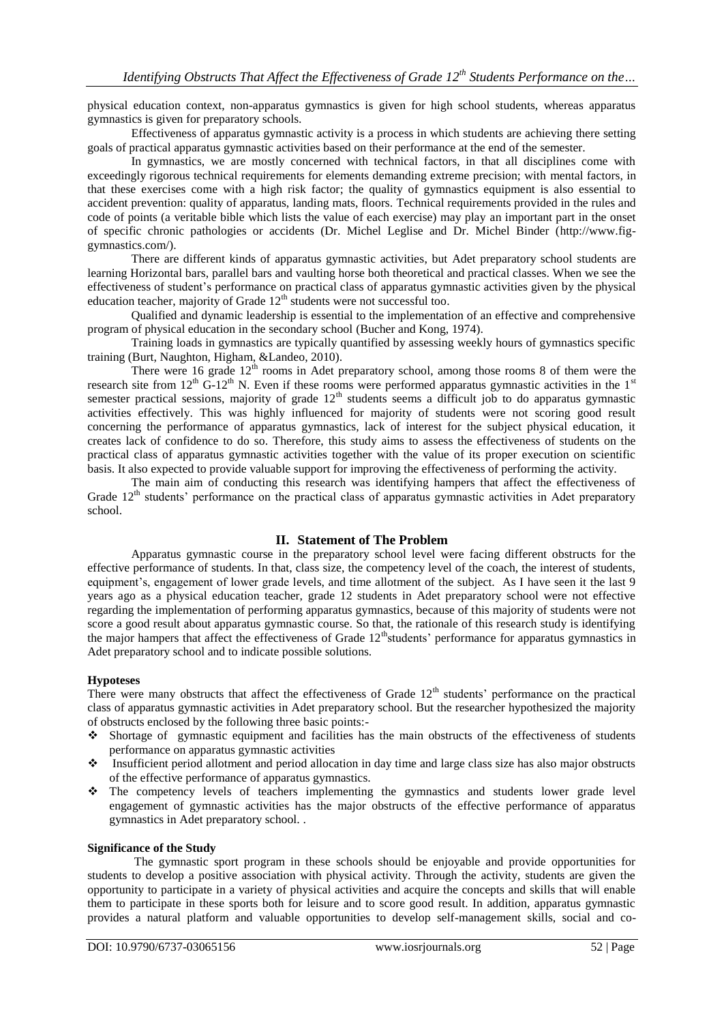physical education context, non-apparatus gymnastics is given for high school students, whereas apparatus gymnastics is given for preparatory schools.

Effectiveness of apparatus gymnastic activity is a process in which students are achieving there setting goals of practical apparatus gymnastic activities based on their performance at the end of the semester.

In gymnastics, we are mostly concerned with technical factors, in that all disciplines come with exceedingly rigorous technical requirements for elements demanding extreme precision; with mental factors, in that these exercises come with a high risk factor; the quality of gymnastics equipment is also essential to accident prevention: quality of apparatus, landing mats, floors. Technical requirements provided in the rules and code of points (a veritable bible which lists the value of each exercise) may play an important part in the onset of specific chronic pathologies or accidents (Dr. Michel Leglise and Dr. Michel Binder [\(http://www.fig](http://www.fig-gymnastics.com/)[gymnastics.com/\)](http://www.fig-gymnastics.com/).

There are different kinds of apparatus gymnastic activities, but Adet preparatory school students are learning Horizontal bars, parallel bars and vaulting horse both theoretical and practical classes. When we see the effectiveness of student's performance on practical class of apparatus gymnastic activities given by the physical education teacher, majority of Grade  $12<sup>th</sup>$  students were not successful too.

Qualified and dynamic leadership is essential to the implementation of an effective and comprehensive program of physical education in the secondary school (Bucher and Kong, 1974).

Training loads in gymnastics are typically quantified by assessing weekly hours of gymnastics specific training (Burt, Naughton, Higham, &Landeo, 2010).

There were 16 grade  $12<sup>th</sup>$  rooms in Adet preparatory school, among those rooms 8 of them were the research site from  $12^{th}$  G-12<sup>th</sup> N. Even if these rooms were performed apparatus gymnastic activities in the 1<sup>st</sup> semester practical sessions, majority of grade  $12<sup>th</sup>$  students seems a difficult job to do apparatus gymnastic activities effectively. This was highly influenced for majority of students were not scoring good result concerning the performance of apparatus gymnastics, lack of interest for the subject physical education, it creates lack of confidence to do so. Therefore, this study aims to assess the effectiveness of students on the practical class of apparatus gymnastic activities together with the value of its proper execution on scientific basis. It also expected to provide valuable support for improving the effectiveness of performing the activity.

The main aim of conducting this research was identifying hampers that affect the effectiveness of Grade  $12<sup>th</sup>$  students' performance on the practical class of apparatus gymnastic activities in Adet preparatory school.

# **II. Statement of The Problem**

Apparatus gymnastic course in the preparatory school level were facing different obstructs for the effective performance of students. In that, class size, the competency level of the coach, the interest of students, equipment's, engagement of lower grade levels, and time allotment of the subject. As I have seen it the last 9 years ago as a physical education teacher, grade 12 students in Adet preparatory school were not effective regarding the implementation of performing apparatus gymnastics, because of this majority of students were not score a good result about apparatus gymnastic course. So that, the rationale of this research study is identifying the major hampers that affect the effectiveness of Grade  $12^{\text{th}}$ students' performance for apparatus gymnastics in Adet preparatory school and to indicate possible solutions.

## **Hypoteses**

There were many obstructs that affect the effectiveness of Grade  $12<sup>th</sup>$  students' performance on the practical class of apparatus gymnastic activities in Adet preparatory school. But the researcher hypothesized the majority of obstructs enclosed by the following three basic points:-

- Shortage of gymnastic equipment and facilities has the main obstructs of the effectiveness of students performance on apparatus gymnastic activities
- Insufficient period allotment and period allocation in day time and large class size has also major obstructs of the effective performance of apparatus gymnastics.
- The competency levels of teachers implementing the gymnastics and students lower grade level engagement of gymnastic activities has the major obstructs of the effective performance of apparatus gymnastics in Adet preparatory school. .

## **Significance of the Study**

The gymnastic sport program in these schools should be enjoyable and provide opportunities for students to develop a positive association with physical activity. Through the activity, students are given the opportunity to participate in a variety of physical activities and acquire the concepts and skills that will enable them to participate in these sports both for leisure and to score good result. In addition, apparatus gymnastic provides a natural platform and valuable opportunities to develop self-management skills, social and co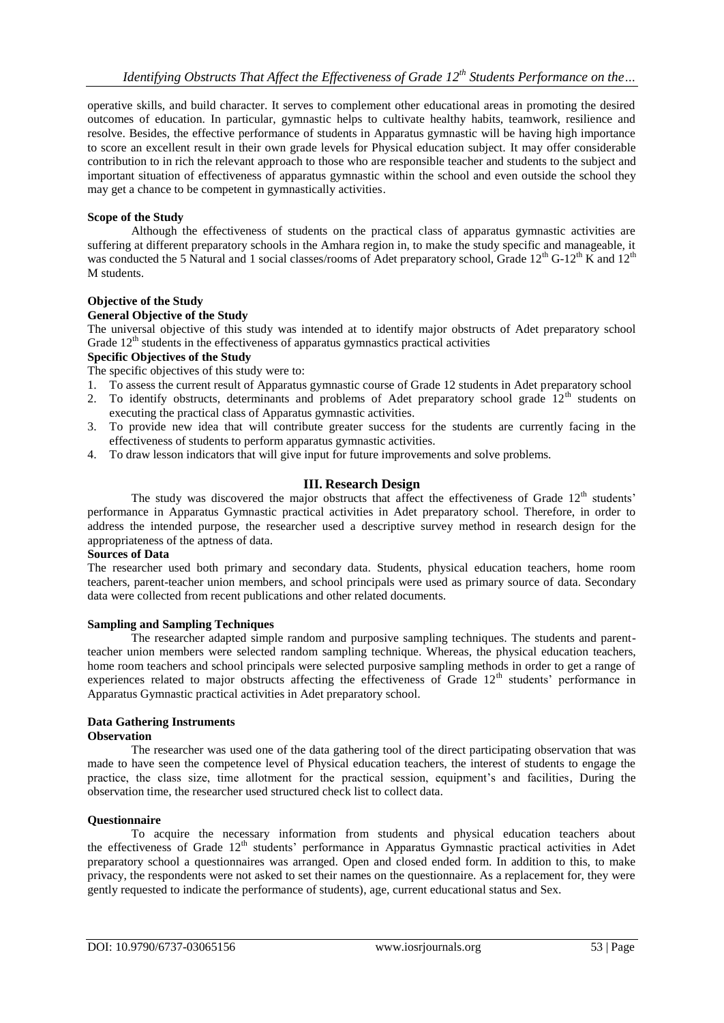operative skills, and build character. It serves to complement other educational areas in promoting the desired outcomes of education. In particular, gymnastic helps to cultivate healthy habits, teamwork, resilience and resolve. Besides, the effective performance of students in Apparatus gymnastic will be having high importance to score an excellent result in their own grade levels for Physical education subject. It may offer considerable contribution to in rich the relevant approach to those who are responsible teacher and students to the subject and important situation of effectiveness of apparatus gymnastic within the school and even outside the school they may get a chance to be competent in gymnastically activities.

## **Scope of the Study**

Although the effectiveness of students on the practical class of apparatus gymnastic activities are suffering at different preparatory schools in the Amhara region in, to make the study specific and manageable, it was conducted the 5 Natural and 1 social classes/rooms of Adet preparatory school, Grade  $12^{th}$  G-12<sup>th</sup> K and  $12^{th}$ M students.

## **Objective of the Study**

## **General Objective of the Study**

The universal objective of this study was intended at to identify major obstructs of Adet preparatory school Grade  $12<sup>th</sup>$  students in the effectiveness of apparatus gymnastics practical activities

## **Specific Objectives of the Study**

The specific objectives of this study were to:

- 1. To assess the current result of Apparatus gymnastic course of Grade 12 students in Adet preparatory school
- 2. To identify obstructs, determinants and problems of Adet preparatory school grade  $12<sup>th</sup>$  students on executing the practical class of Apparatus gymnastic activities.
- 3. To provide new idea that will contribute greater success for the students are currently facing in the effectiveness of students to perform apparatus gymnastic activities.
- 4. To draw lesson indicators that will give input for future improvements and solve problems.

# **III. Research Design**

The study was discovered the major obstructs that affect the effectiveness of Grade  $12<sup>th</sup>$  students' performance in Apparatus Gymnastic practical activities in Adet preparatory school. Therefore, in order to address the intended purpose, the researcher used a descriptive survey method in research design for the appropriateness of the aptness of data.

## **Sources of Data**

The researcher used both primary and secondary data. Students, physical education teachers, home room teachers, parent-teacher union members, and school principals were used as primary source of data. Secondary data were collected from recent publications and other related documents.

## **Sampling and Sampling Techniques**

The researcher adapted simple random and purposive sampling techniques. The students and parentteacher union members were selected random sampling technique. Whereas, the physical education teachers, home room teachers and school principals were selected purposive sampling methods in order to get a range of experiences related to major obstructs affecting the effectiveness of Grade 12<sup>th</sup> students' performance in Apparatus Gymnastic practical activities in Adet preparatory school.

# **Data Gathering Instruments**

## **Observation**

The researcher was used one of the data gathering tool of the direct participating observation that was made to have seen the competence level of Physical education teachers, the interest of students to engage the practice, the class size, time allotment for the practical session, equipment's and facilities, During the observation time, the researcher used structured check list to collect data.

## **Questionnaire**

To acquire the necessary information from students and physical education teachers about the effectiveness of Grade 12<sup>th</sup> students' performance in Apparatus Gymnastic practical activities in Adet preparatory school a questionnaires was arranged. Open and closed ended form. In addition to this, to make privacy, the respondents were not asked to set their names on the questionnaire. As a replacement for, they were gently requested to indicate the performance of students), age, current educational status and Sex.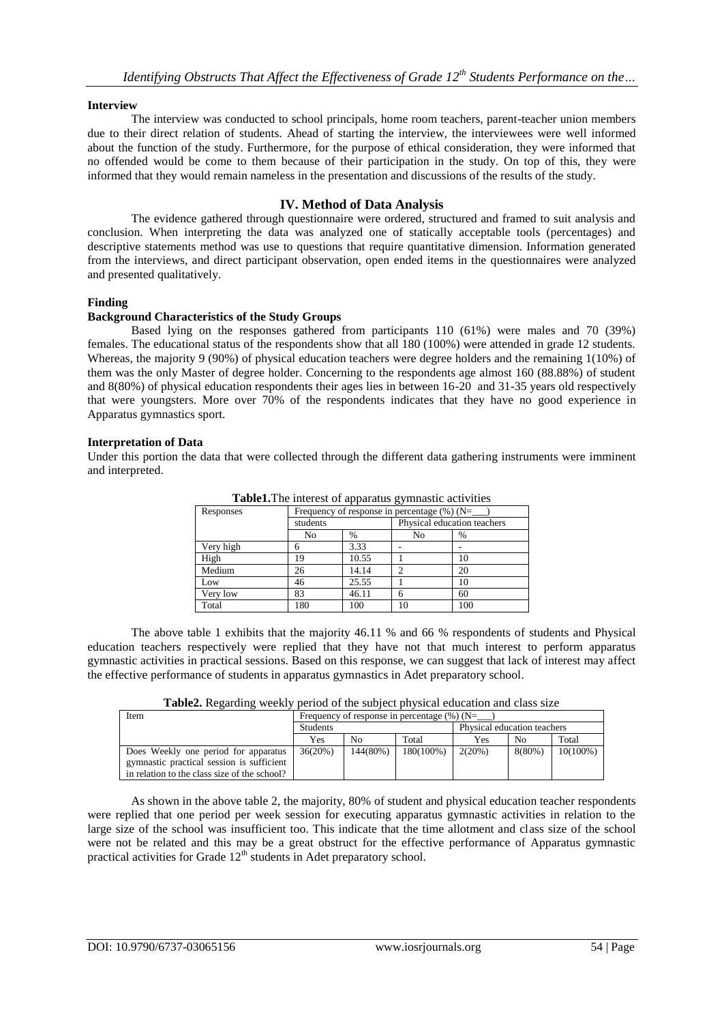## **Interview**

The interview was conducted to school principals, home room teachers, parent-teacher union members due to their direct relation of students. Ahead of starting the interview, the interviewees were well informed about the function of the study. Furthermore, for the purpose of ethical consideration, they were informed that no offended would be come to them because of their participation in the study. On top of this, they were informed that they would remain nameless in the presentation and discussions of the results of the study.

# **IV. Method of Data Analysis**

The evidence gathered through questionnaire were ordered, structured and framed to suit analysis and conclusion. When interpreting the data was analyzed one of statically acceptable tools (percentages) and descriptive statements method was use to questions that require quantitative dimension. Information generated from the interviews, and direct participant observation, open ended items in the questionnaires were analyzed and presented qualitatively.

## **Finding**

## **Background Characteristics of the Study Groups**

Based lying on the responses gathered from participants 110 (61%) were males and 70 (39%) females. The educational status of the respondents show that all 180 (100%) were attended in grade 12 students. Whereas, the majority 9 (90%) of physical education teachers were degree holders and the remaining 1(10%) of them was the only Master of degree holder. Concerning to the respondents age almost 160 (88.88%) of student and 8(80%) of physical education respondents their ages lies in between 16-20 and 31-35 years old respectively that were youngsters. More over 70% of the respondents indicates that they have no good experience in Apparatus gymnastics sport.

## **Interpretation of Data**

Under this portion the data that were collected through the different data gathering instruments were imminent and interpreted.

| Responses | Frequency of response in percentage $(\%)$ (N= |       |                             |     |  |  |
|-----------|------------------------------------------------|-------|-----------------------------|-----|--|--|
|           | students                                       |       | Physical education teachers |     |  |  |
|           | No                                             | $\%$  | No                          | %   |  |  |
| Very high |                                                | 3.33  |                             |     |  |  |
| High      | 19                                             | 10.55 |                             | 10  |  |  |
| Medium    | 26                                             | 14.14 |                             | 20  |  |  |
| Low       | 46                                             | 25.55 |                             | 10  |  |  |
| Very low  | 83                                             | 46.11 | h                           | 60  |  |  |
| Total     | 180                                            | 100   | 10                          | 100 |  |  |

**Table1.**The interest of apparatus gymnastic activities

The above table 1 exhibits that the majority 46.11 % and 66 % respondents of students and Physical education teachers respectively were replied that they have not that much interest to perform apparatus gymnastic activities in practical sessions. Based on this response, we can suggest that lack of interest may affect the effective performance of students in apparatus gymnastics in Adet preparatory school.

**Table2.** Regarding weekly period of the subject physical education and class size

| Item                                         | Frequency of response in percentage $(\%)(N=$ |          |           |                             |           |             |
|----------------------------------------------|-----------------------------------------------|----------|-----------|-----------------------------|-----------|-------------|
|                                              | <b>Students</b>                               |          |           | Physical education teachers |           |             |
|                                              | <b>Yes</b>                                    | No       | Total     | Yes                         | No        | Total       |
| Does Weekly one period for apparatus         | 36(20%)                                       | 144(80%) | 180(100%) | 2(20%)                      | $8(80\%)$ | $10(100\%)$ |
| gymnastic practical session is sufficient    |                                               |          |           |                             |           |             |
| in relation to the class size of the school? |                                               |          |           |                             |           |             |

As shown in the above table 2, the majority, 80% of student and physical education teacher respondents were replied that one period per week session for executing apparatus gymnastic activities in relation to the large size of the school was insufficient too. This indicate that the time allotment and class size of the school were not be related and this may be a great obstruct for the effective performance of Apparatus gymnastic practical activities for Grade  $12<sup>th</sup>$  students in Adet preparatory school.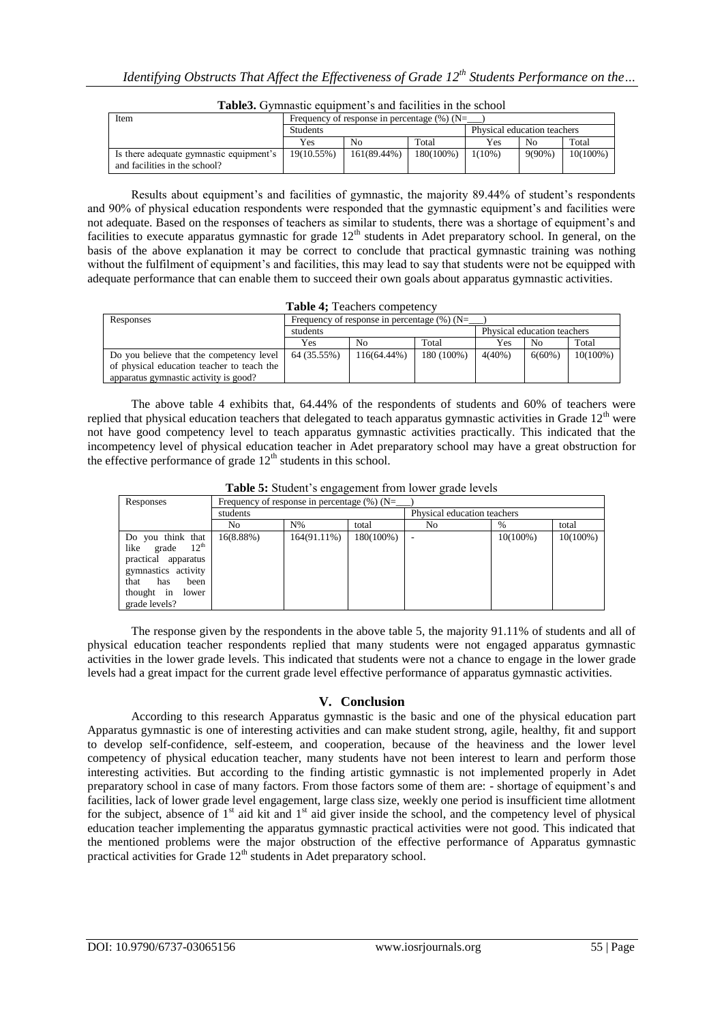| Item                                                                     | Frequency of response in percentage $(\%)$ (N= |             |           |                             |                |             |
|--------------------------------------------------------------------------|------------------------------------------------|-------------|-----------|-----------------------------|----------------|-------------|
|                                                                          | <b>Students</b>                                |             |           | Physical education teachers |                |             |
|                                                                          | <b>Yes</b>                                     | No          | Total     | Yes                         | N <sub>0</sub> | Total       |
| Is there adequate gymnastic equipment's<br>and facilities in the school? | 19(10.55%)                                     | 161(89.44%) | 180(100%) | $1(10\%)$                   | $9(90\%)$      | $10(100\%)$ |

**Table3.** Gymnastic equipment's and facilities in the school

Results about equipment's and facilities of gymnastic, the majority 89.44% of student's respondents and 90% of physical education respondents were responded that the gymnastic equipment's and facilities were not adequate. Based on the responses of teachers as similar to students, there was a shortage of equipment's and facilities to execute apparatus gymnastic for grade  $12<sup>th</sup>$  students in Adet preparatory school. In general, on the basis of the above explanation it may be correct to conclude that practical gymnastic training was nothing without the fulfilment of equipment's and facilities, this may lead to say that students were not be equipped with adequate performance that can enable them to succeed their own goals about apparatus gymnastic activities.

| Table 4; Teachers competency |
|------------------------------|
|------------------------------|

| Responses                                  | Frequency of response in percentage $(\%)(N=$ |                |                             |           |                |             |
|--------------------------------------------|-----------------------------------------------|----------------|-----------------------------|-----------|----------------|-------------|
|                                            | students                                      |                | Physical education teachers |           |                |             |
|                                            | Yes                                           | N <sub>0</sub> | Total                       | Yes       | N <sub>0</sub> | Total       |
| Do you believe that the competency level   | 64 (35.55%)                                   | 116(64.44%)    | 180 (100%)                  | $4(40\%)$ | $6(60\%)$      | $10(100\%)$ |
| of physical education teacher to teach the |                                               |                |                             |           |                |             |
| apparatus gymnastic activity is good?      |                                               |                |                             |           |                |             |

The above table 4 exhibits that, 64.44% of the respondents of students and 60% of teachers were replied that physical education teachers that delegated to teach apparatus gymnastic activities in Grade 12<sup>th</sup> were not have good competency level to teach apparatus gymnastic activities practically. This indicated that the incompetency level of physical education teacher in Adet preparatory school may have a great obstruction for the effective performance of grade  $12<sup>th</sup>$  students in this school.

**Table 5:** Student's engagement from lower grade levels

| Responses                                                                                                                                                  | Frequency of response in percentage $(\%)(N=$ |                |              |                             |             |             |  |
|------------------------------------------------------------------------------------------------------------------------------------------------------------|-----------------------------------------------|----------------|--------------|-----------------------------|-------------|-------------|--|
|                                                                                                                                                            | students                                      |                |              | Physical education teachers |             |             |  |
|                                                                                                                                                            | No                                            | $N\%$          | total        | No                          | $\%$        | total       |  |
| Do you think that<br>grade $12^{\text{th}}$<br>like<br>practical apparatus<br>gymnastics activity<br>that has<br>been<br>thought in lower<br>grade levels? | 16(8.88%)                                     | $164(91.11\%)$ | $180(100\%)$ |                             | $10(100\%)$ | $10(100\%)$ |  |

The response given by the respondents in the above table 5, the majority 91.11% of students and all of physical education teacher respondents replied that many students were not engaged apparatus gymnastic activities in the lower grade levels. This indicated that students were not a chance to engage in the lower grade levels had a great impact for the current grade level effective performance of apparatus gymnastic activities.

# **V. Conclusion**

According to this research Apparatus gymnastic is the basic and one of the physical education part Apparatus gymnastic is one of interesting activities and can make student strong, agile, healthy, fit and support to develop self-confidence, self-esteem, and cooperation, because of the heaviness and the lower level competency of physical education teacher, many students have not been interest to learn and perform those interesting activities. But according to the finding artistic gymnastic is not implemented properly in Adet preparatory school in case of many factors. From those factors some of them are: - shortage of equipment's and facilities, lack of lower grade level engagement, large class size, weekly one period is insufficient time allotment for the subject, absence of  $1<sup>st</sup>$  aid kit and  $1<sup>st</sup>$  aid giver inside the school, and the competency level of physical education teacher implementing the apparatus gymnastic practical activities were not good. This indicated that the mentioned problems were the major obstruction of the effective performance of Apparatus gymnastic practical activities for Grade  $12<sup>th</sup>$  students in Adet preparatory school.